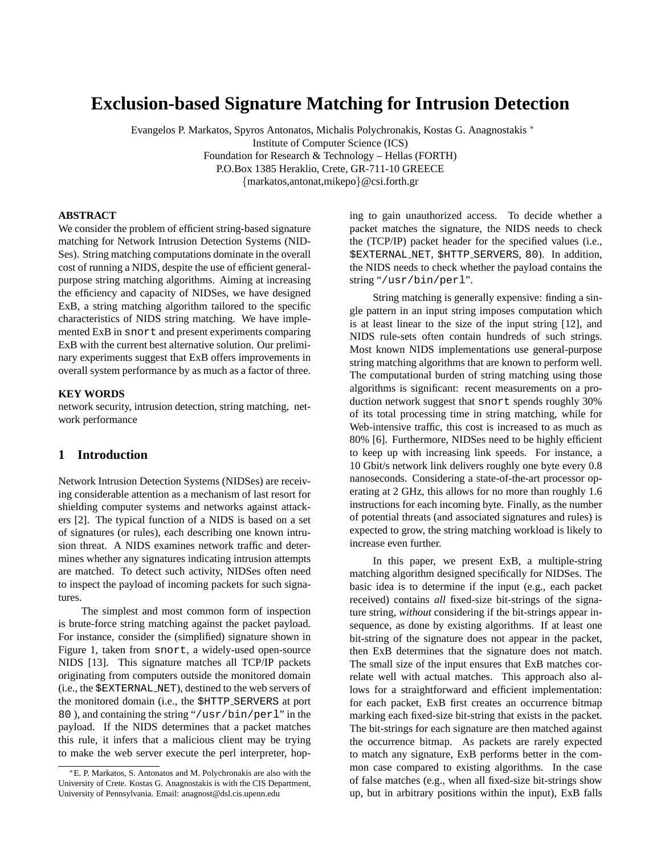# **Exclusion-based Signature Matching for Intrusion Detection**

Evangelos P. Markatos, Spyros Antonatos, Michalis Polychronakis, Kostas G. Anagnostakis <sup>∗</sup> Institute of Computer Science (ICS) Foundation for Research & Technology – Hellas (FORTH) P.O.Box 1385 Heraklio, Crete, GR-711-10 GREECE {markatos,antonat,mikepo}@csi.forth.gr

#### **ABSTRACT**

We consider the problem of efficient string-based signature matching for Network Intrusion Detection Systems (NID-Ses). String matching computations dominate in the overall cost of running a NIDS, despite the use of efficient generalpurpose string matching algorithms. Aiming at increasing the efficiency and capacity of NIDSes, we have designed ExB, a string matching algorithm tailored to the specific characteristics of NIDS string matching. We have implemented ExB in snort and present experiments comparing ExB with the current best alternative solution. Our preliminary experiments suggest that ExB offers improvements in overall system performance by as much as a factor of three.

#### **KEY WORDS**

network security, intrusion detection, string matching, network performance

# **1 Introduction**

Network Intrusion Detection Systems (NIDSes) are receiving considerable attention as a mechanism of last resort for shielding computer systems and networks against attackers [2]. The typical function of a NIDS is based on a set of signatures (or rules), each describing one known intrusion threat. A NIDS examines network traffic and determines whether any signatures indicating intrusion attempts are matched. To detect such activity, NIDSes often need to inspect the payload of incoming packets for such signatures.

The simplest and most common form of inspection is brute-force string matching against the packet payload. For instance, consider the (simplified) signature shown in Figure 1, taken from snort, a widely-used open-source NIDS [13]. This signature matches all TCP/IP packets originating from computers outside the monitored domain (i.e., the \$EXTERNAL NET), destined to the web servers of the monitored domain (i.e., the \$HTTP SERVERS at port 80 ), and containing the string "/usr/bin/perl" in the payload. If the NIDS determines that a packet matches this rule, it infers that a malicious client may be trying to make the web server execute the perl interpreter, hoping to gain unauthorized access. To decide whether a packet matches the signature, the NIDS needs to check the (TCP/IP) packet header for the specified values (i.e., \$EXTERNAL NET, \$HTTP SERVERS, 80). In addition, the NIDS needs to check whether the payload contains the string "/usr/bin/perl".

String matching is generally expensive: finding a single pattern in an input string imposes computation which is at least linear to the size of the input string [12], and NIDS rule-sets often contain hundreds of such strings. Most known NIDS implementations use general-purpose string matching algorithms that are known to perform well. The computational burden of string matching using those algorithms is significant: recent measurements on a production network suggest that snort spends roughly 30% of its total processing time in string matching, while for Web-intensive traffic, this cost is increased to as much as 80% [6]. Furthermore, NIDSes need to be highly efficient to keep up with increasing link speeds. For instance, a 10 Gbit/s network link delivers roughly one byte every 0.8 nanoseconds. Considering a state-of-the-art processor operating at 2 GHz, this allows for no more than roughly 1.6 instructions for each incoming byte. Finally, as the number of potential threats (and associated signatures and rules) is expected to grow, the string matching workload is likely to increase even further.

In this paper, we present ExB, a multiple-string matching algorithm designed specifically for NIDSes. The basic idea is to determine if the input (e.g., each packet received) contains *all* fixed-size bit-strings of the signature string, *without* considering if the bit-strings appear insequence, as done by existing algorithms. If at least one bit-string of the signature does not appear in the packet, then ExB determines that the signature does not match. The small size of the input ensures that ExB matches correlate well with actual matches. This approach also allows for a straightforward and efficient implementation: for each packet, ExB first creates an occurrence bitmap marking each fixed-size bit-string that exists in the packet. The bit-strings for each signature are then matched against the occurrence bitmap. As packets are rarely expected to match any signature, ExB performs better in the common case compared to existing algorithms. In the case of false matches (e.g., when all fixed-size bit-strings show up, but in arbitrary positions within the input), ExB falls

<sup>∗</sup>E. P. Markatos, S. Antonatos and M. Polychronakis are also with the University of Crete. Kostas G. Anagnostakis is with the CIS Department, University of Pennsylvania. Email: anagnost@dsl.cis.upenn.edu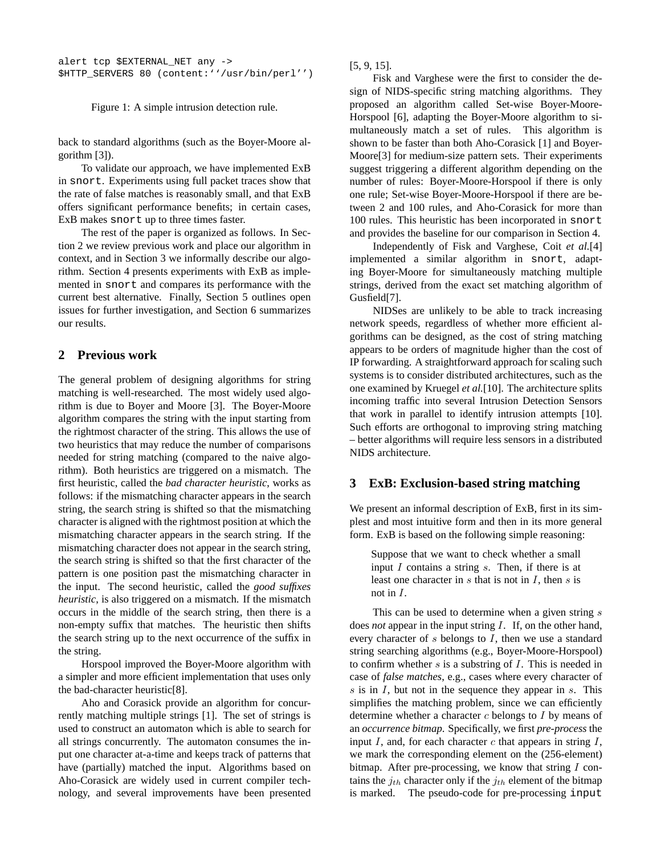alert tcp \$EXTERNAL\_NET any -> \$HTTP\_SERVERS 80 (content:''/usr/bin/perl'')

Figure 1: A simple intrusion detection rule.

back to standard algorithms (such as the Boyer-Moore algorithm [3]).

To validate our approach, we have implemented ExB in snort. Experiments using full packet traces show that the rate of false matches is reasonably small, and that ExB offers significant performance benefits; in certain cases, ExB makes snort up to three times faster.

The rest of the paper is organized as follows. In Section 2 we review previous work and place our algorithm in context, and in Section 3 we informally describe our algorithm. Section 4 presents experiments with ExB as implemented in snort and compares its performance with the current best alternative. Finally, Section 5 outlines open issues for further investigation, and Section 6 summarizes our results.

# **2 Previous work**

The general problem of designing algorithms for string matching is well-researched. The most widely used algorithm is due to Boyer and Moore [3]. The Boyer-Moore algorithm compares the string with the input starting from the rightmost character of the string. This allows the use of two heuristics that may reduce the number of comparisons needed for string matching (compared to the naive algorithm). Both heuristics are triggered on a mismatch. The first heuristic, called the *bad character heuristic*, works as follows: if the mismatching character appears in the search string, the search string is shifted so that the mismatching character is aligned with the rightmost position at which the mismatching character appears in the search string. If the mismatching character does not appear in the search string, the search string is shifted so that the first character of the pattern is one position past the mismatching character in the input. The second heuristic, called the *good suffixes heuristic*, is also triggered on a mismatch. If the mismatch occurs in the middle of the search string, then there is a non-empty suffix that matches. The heuristic then shifts the search string up to the next occurrence of the suffix in the string.

Horspool improved the Boyer-Moore algorithm with a simpler and more efficient implementation that uses only the bad-character heuristic[8].

Aho and Corasick provide an algorithm for concurrently matching multiple strings [1]. The set of strings is used to construct an automaton which is able to search for all strings concurrently. The automaton consumes the input one character at-a-time and keeps track of patterns that have (partially) matched the input. Algorithms based on Aho-Corasick are widely used in current compiler technology, and several improvements have been presented

[5, 9, 15].

Fisk and Varghese were the first to consider the design of NIDS-specific string matching algorithms. They proposed an algorithm called Set-wise Boyer-Moore-Horspool [6], adapting the Boyer-Moore algorithm to simultaneously match a set of rules. This algorithm is shown to be faster than both Aho-Corasick [1] and Boyer-Moore[3] for medium-size pattern sets. Their experiments suggest triggering a different algorithm depending on the number of rules: Boyer-Moore-Horspool if there is only one rule; Set-wise Boyer-Moore-Horspool if there are between 2 and 100 rules, and Aho-Corasick for more than 100 rules. This heuristic has been incorporated in snort and provides the baseline for our comparison in Section 4.

Independently of Fisk and Varghese, Coit *et al.*[4] implemented a similar algorithm in snort, adapting Boyer-Moore for simultaneously matching multiple strings, derived from the exact set matching algorithm of Gusfield[7].

NIDSes are unlikely to be able to track increasing network speeds, regardless of whether more efficient algorithms can be designed, as the cost of string matching appears to be orders of magnitude higher than the cost of IP forwarding. A straightforward approach for scaling such systems is to consider distributed architectures, such as the one examined by Kruegel *et al.*[10]. The architecture splits incoming traffic into several Intrusion Detection Sensors that work in parallel to identify intrusion attempts [10]. Such efforts are orthogonal to improving string matching – better algorithms will require less sensors in a distributed NIDS architecture.

## **3 ExB: Exclusion-based string matching**

We present an informal description of ExB, first in its simplest and most intuitive form and then in its more general form. ExB is based on the following simple reasoning:

Suppose that we want to check whether a small input  $I$  contains a string  $s$ . Then, if there is at least one character in  $s$  that is not in  $I$ , then  $s$  is not in I.

This can be used to determine when a given string s does *not* appear in the input string I. If, on the other hand, every character of  $s$  belongs to  $I$ , then we use a standard string searching algorithms (e.g., Boyer-Moore-Horspool) to confirm whether  $s$  is a substring of  $I$ . This is needed in case of *false matches*, e.g., cases where every character of  $s$  is in  $I$ , but not in the sequence they appear in  $s$ . This simplifies the matching problem, since we can efficiently determine whether a character  $c$  belongs to  $I$  by means of an *occurrence bitmap*. Specifically, we first *pre-process* the input  $I$ , and, for each character  $c$  that appears in string  $I$ , we mark the corresponding element on the (256-element) bitmap. After pre-processing, we know that string  $I$  contains the  $j_{th}$  character only if the  $j_{th}$  element of the bitmap is marked. The pseudo-code for pre-processing input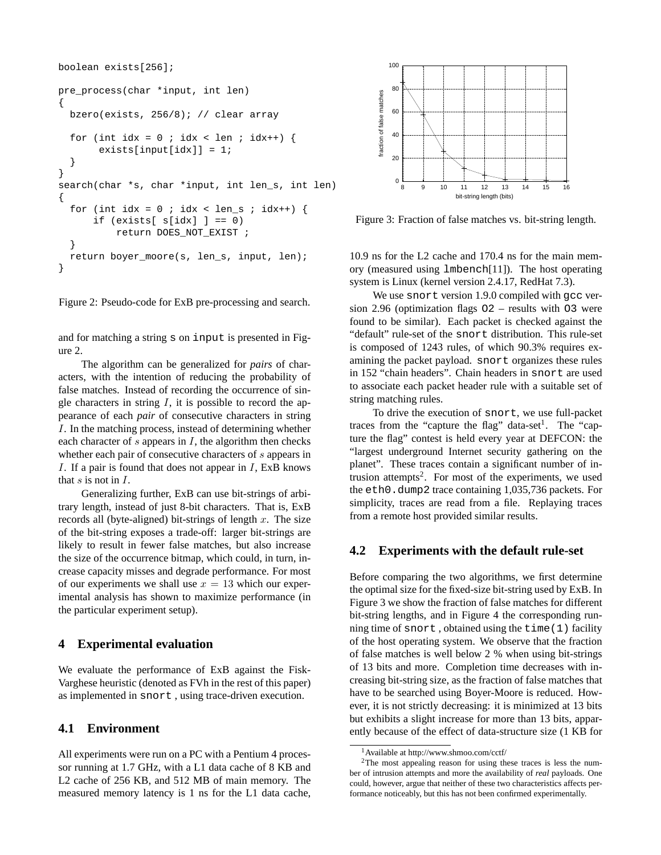```
boolean exists[256];
pre_process(char *input, int len)
{
 bzero(exists, 256/8); // clear array
  for (int idx = 0 ; idx < len ; idx++) {
       exists[input[idx]] = 1;
  }
}
search(char *s, char *input, int len_s, int len)
{
  for (int idx = 0 ; idx < len_s ; idx++) {
      if (exists[ s [idx] ] = 0)return DOES_NOT_EXIST ;
  }
  return boyer_moore(s, len_s, input, len);
}
```
Figure 2: Pseudo-code for ExB pre-processing and search.

and for matching a string s on input is presented in Figure 2.

The algorithm can be generalized for *pairs* of characters, with the intention of reducing the probability of false matches. Instead of recording the occurrence of single characters in string  $I$ , it is possible to record the appearance of each *pair* of consecutive characters in string I. In the matching process, instead of determining whether each character of s appears in  $I$ , the algorithm then checks whether each pair of consecutive characters of s appears in I. If a pair is found that does not appear in  $I$ , ExB knows that  $s$  is not in  $I$ .

Generalizing further, ExB can use bit-strings of arbitrary length, instead of just 8-bit characters. That is, ExB records all (byte-aligned) bit-strings of length  $x$ . The size of the bit-string exposes a trade-off: larger bit-strings are likely to result in fewer false matches, but also increase the size of the occurrence bitmap, which could, in turn, increase capacity misses and degrade performance. For most of our experiments we shall use  $x = 13$  which our experimental analysis has shown to maximize performance (in the particular experiment setup).

## **4 Experimental evaluation**

We evaluate the performance of ExB against the Fisk-Varghese heuristic (denoted as FVh in the rest of this paper) as implemented in snort , using trace-driven execution.

## **4.1 Environment**

All experiments were run on a PC with a Pentium 4 processor running at 1.7 GHz, with a L1 data cache of 8 KB and L2 cache of 256 KB, and 512 MB of main memory. The measured memory latency is 1 ns for the L1 data cache,



Figure 3: Fraction of false matches vs. bit-string length.

10.9 ns for the L2 cache and 170.4 ns for the main memory (measured using lmbench[11]). The host operating system is Linux (kernel version 2.4.17, RedHat 7.3).

We use snort version 1.9.0 compiled with gcc version 2.96 (optimization flags O2 – results with O3 were found to be similar). Each packet is checked against the "default" rule-set of the snort distribution. This rule-set is composed of 1243 rules, of which 90.3% requires examining the packet payload. snort organizes these rules in 152 "chain headers". Chain headers in snort are used to associate each packet header rule with a suitable set of string matching rules.

To drive the execution of snort, we use full-packet traces from the "capture the flag" data-set<sup>1</sup>. The "capture the flag" contest is held every year at DEFCON: the "largest underground Internet security gathering on the planet". These traces contain a significant number of intrusion attempts<sup>2</sup>. For most of the experiments, we used the eth0.dump2 trace containing 1,035,736 packets. For simplicity, traces are read from a file. Replaying traces from a remote host provided similar results.

## **4.2 Experiments with the default rule-set**

Before comparing the two algorithms, we first determine the optimal size for the fixed-size bit-string used by ExB. In Figure 3 we show the fraction of false matches for different bit-string lengths, and in Figure 4 the corresponding running time of snort , obtained using the time(1) facility of the host operating system. We observe that the fraction of false matches is well below 2 % when using bit-strings of 13 bits and more. Completion time decreases with increasing bit-string size, as the fraction of false matches that have to be searched using Boyer-Moore is reduced. However, it is not strictly decreasing: it is minimized at 13 bits but exhibits a slight increase for more than 13 bits, apparently because of the effect of data-structure size (1 KB for

<sup>1</sup>Available at http://www.shmoo.com/cctf/

<sup>2</sup>The most appealing reason for using these traces is less the number of intrusion attempts and more the availability of *real* payloads. One could, however, argue that neither of these two characteristics affects performance noticeably, but this has not been confirmed experimentally.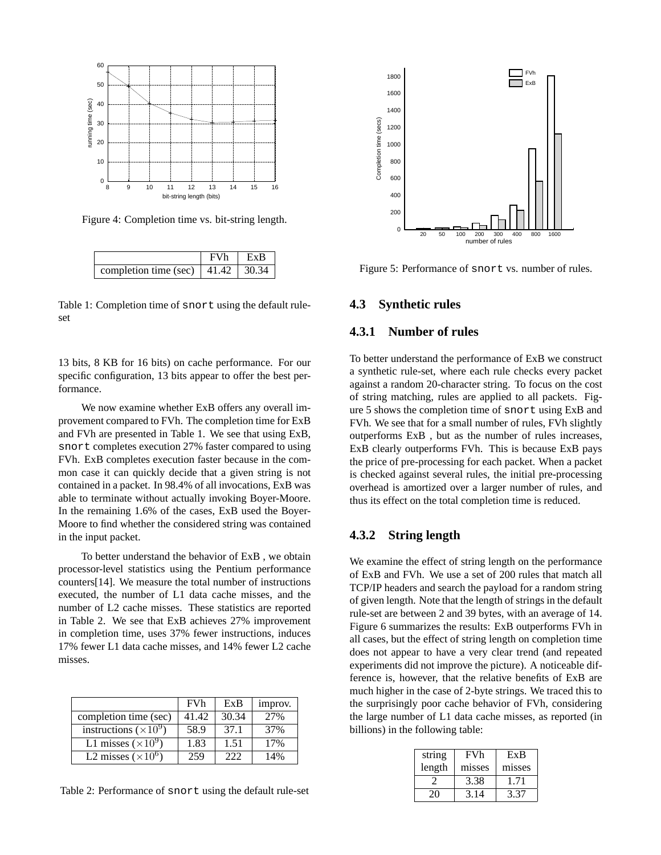

Figure 4: Completion time vs. bit-string length.

|                                                    | <b>FVh</b> | $ $ ExB |
|----------------------------------------------------|------------|---------|
| completion time (sec)   41.42   $\overline{30.34}$ |            |         |

Table 1: Completion time of snort using the default ruleset

13 bits, 8 KB for 16 bits) on cache performance. For our specific configuration, 13 bits appear to offer the best performance.

We now examine whether ExB offers any overall improvement compared to FVh. The completion time for ExB and FVh are presented in Table 1. We see that using ExB, snort completes execution 27% faster compared to using FVh. ExB completes execution faster because in the common case it can quickly decide that a given string is not contained in a packet. In 98.4% of all invocations, ExB was able to terminate without actually invoking Boyer-Moore. In the remaining 1.6% of the cases, ExB used the Boyer-Moore to find whether the considered string was contained in the input packet.

To better understand the behavior of ExB , we obtain processor-level statistics using the Pentium performance counters[14]. We measure the total number of instructions executed, the number of L1 data cache misses, and the number of L2 cache misses. These statistics are reported in Table 2. We see that ExB achieves 27% improvement in completion time, uses 37% fewer instructions, induces 17% fewer L1 data cache misses, and 14% fewer L2 cache misses.

|                              | <b>FVh</b> | ExB   | improv. |
|------------------------------|------------|-------|---------|
| completion time (sec)        | 41.42      | 30.34 | 2.7%    |
| instructions $(\times 10^9)$ | 58.9       | 37.1  | 37%     |
| L1 misses $(\times 10^9)$    | 1.83       | 1.51  | 17%     |
| L2 misses $(\times 10^6)$    | 259        | 222   | 14%     |

Table 2: Performance of snort using the default rule-set



Figure 5: Performance of snort vs. number of rules.

#### **4.3 Synthetic rules**

# **4.3.1 Number of rules**

To better understand the performance of ExB we construct a synthetic rule-set, where each rule checks every packet against a random 20-character string. To focus on the cost of string matching, rules are applied to all packets. Figure 5 shows the completion time of snort using ExB and FVh. We see that for a small number of rules, FVh slightly outperforms ExB , but as the number of rules increases, ExB clearly outperforms FVh. This is because ExB pays the price of pre-processing for each packet. When a packet is checked against several rules, the initial pre-processing overhead is amortized over a larger number of rules, and thus its effect on the total completion time is reduced.

## **4.3.2 String length**

We examine the effect of string length on the performance of ExB and FVh. We use a set of 200 rules that match all TCP/IP headers and search the payload for a random string of given length. Note that the length of strings in the default rule-set are between 2 and 39 bytes, with an average of 14. Figure 6 summarizes the results: ExB outperforms FVh in all cases, but the effect of string length on completion time does not appear to have a very clear trend (and repeated experiments did not improve the picture). A noticeable difference is, however, that the relative benefits of ExB are much higher in the case of 2-byte strings. We traced this to the surprisingly poor cache behavior of FVh, considering the large number of L1 data cache misses, as reported (in billions) in the following table:

| string | <b>FVh</b> | ExB    |
|--------|------------|--------|
| length | misses     | misses |
|        | 3.38       | 171    |
| 20     | 3.14       | 3.37   |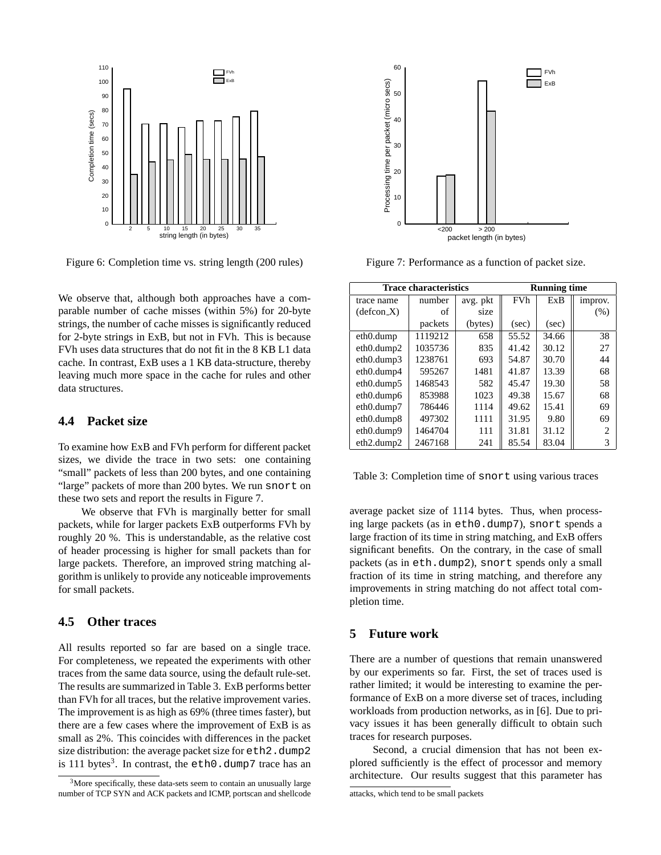

Figure 6: Completion time vs. string length (200 rules)

We observe that, although both approaches have a comparable number of cache misses (within 5%) for 20-byte strings, the number of cache misses is significantly reduced for 2-byte strings in ExB, but not in FVh. This is because FVh uses data structures that do not fit in the 8 KB L1 data cache. In contrast, ExB uses a 1 KB data-structure, thereby leaving much more space in the cache for rules and other data structures.

## **4.4 Packet size**

To examine how ExB and FVh perform for different packet sizes, we divide the trace in two sets: one containing "small" packets of less than 200 bytes, and one containing "large" packets of more than 200 bytes. We run snort on these two sets and report the results in Figure 7.

We observe that FVh is marginally better for small packets, while for larger packets ExB outperforms FVh by roughly 20 %. This is understandable, as the relative cost of header processing is higher for small packets than for large packets. Therefore, an improved string matching algorithm is unlikely to provide any noticeable improvements for small packets.

# **4.5 Other traces**

All results reported so far are based on a single trace. For completeness, we repeated the experiments with other traces from the same data source, using the default rule-set. The results are summarized in Table 3. ExB performs better than FVh for all traces, but the relative improvement varies. The improvement is as high as 69% (three times faster), but there are a few cases where the improvement of ExB is as small as 2%. This coincides with differences in the packet size distribution: the average packet size for eth2.dump2 is 111 bytes<sup>3</sup>. In contrast, the  $e$ th0.dump7 trace has an



Figure 7: Performance as a function of packet size.

| <b>Trace characteristics</b>        |         |          | <b>Running time</b> |       |                             |
|-------------------------------------|---------|----------|---------------------|-------|-----------------------------|
| trace name                          | number  | avg. pkt | <b>FVh</b>          | ExB   | improv.                     |
| $(defcon_X)$                        | of      | size     |                     |       | (% )                        |
|                                     | packets | (bytes)  | (sec)               | (sec) |                             |
| eth0.dump                           | 1119212 | 658      | 55.52               | 34.66 | 38                          |
| $eth0.$ dump2                       | 1035736 | 835      | 41.42               | 30.12 | 27                          |
| $eth0.$ dump $3$                    | 1238761 | 693      | 54.87               | 30.70 | 44                          |
| eth0.dump4                          | 595267  | 1481     | 41.87               | 13.39 | 68                          |
| eth0.dump5                          | 1468543 | 582      | 45.47               | 19.30 | 58                          |
| eth0.dump6                          | 853988  | 1023     | 49.38               | 15.67 | 68                          |
| eth0.dump7                          | 786446  | 1114     | 49.62               | 15.41 | 69                          |
| eth0.dump8                          | 497302  | 1111     | 31.95               | 9.80  | 69                          |
| eth0.dump9                          | 1464704 | 111      | 31.81               | 31.12 | $\mathcal{D}_{\mathcal{L}}$ |
| eth <sub>2</sub> .dump <sub>2</sub> | 2467168 | 241      | 85.54               | 83.04 | 3                           |

Table 3: Completion time of snort using various traces

average packet size of 1114 bytes. Thus, when processing large packets (as in eth0.dump7), snort spends a large fraction of its time in string matching, and ExB offers significant benefits. On the contrary, in the case of small packets (as in eth.dump2), snort spends only a small fraction of its time in string matching, and therefore any improvements in string matching do not affect total completion time.

#### **5 Future work**

There are a number of questions that remain unanswered by our experiments so far. First, the set of traces used is rather limited; it would be interesting to examine the performance of ExB on a more diverse set of traces, including workloads from production networks, as in [6]. Due to privacy issues it has been generally difficult to obtain such traces for research purposes.

Second, a crucial dimension that has not been explored sufficiently is the effect of processor and memory architecture. Our results suggest that this parameter has

 $3$ More specifically, these data-sets seem to contain an unusually large number of TCP SYN and ACK packets and ICMP, portscan and shellcode

attacks, which tend to be small packets